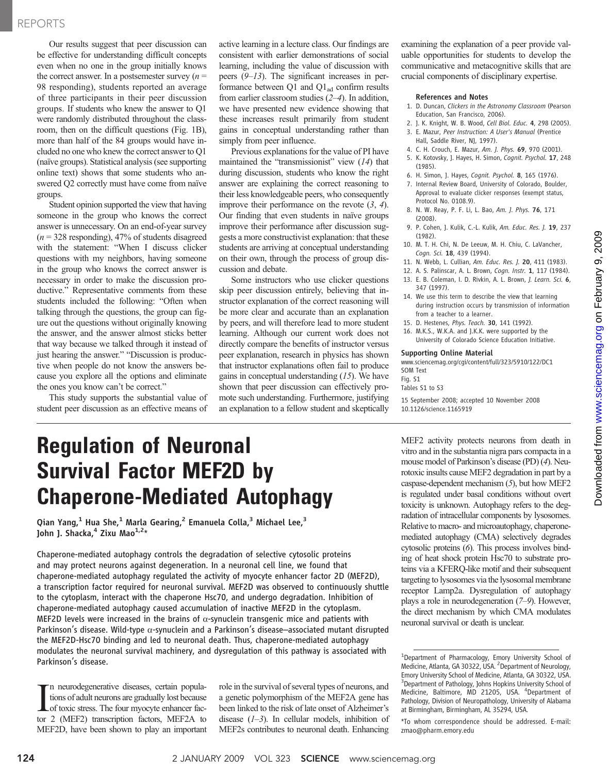### REPORTS

Our results suggest that peer discussion can be effective for understanding difficult concepts even when no one in the group initially knows the correct answer. In a postsemester survey  $(n =$ 98 responding), students reported an average of three participants in their peer discussion groups. If students who knew the answer to Q1 were randomly distributed throughout the classroom, then on the difficult questions (Fig. 1B), more than half of the 84 groups would have included no one who knew the correct answer to Q1 (naïve groups). Statistical analysis (see supporting online text) shows that some students who answered Q2 correctly must have come from naïve groups.

Student opinion supported the view that having someone in the group who knows the correct answer is unnecessary. On an end-of-year survey  $(n = 328$  responding), 47% of students disagreed with the statement: "When I discuss clicker questions with my neighbors, having someone in the group who knows the correct answer is necessary in order to make the discussion productive." Representative comments from these students included the following: "Often when talking through the questions, the group can figure out the questions without originally knowing the answer, and the answer almost sticks better that way because we talked through it instead of just hearing the answer." "Discussion is productive when people do not know the answers because you explore all the options and eliminate the ones you know can't be correct."

This study supports the substantial value of student peer discussion as an effective means of active learning in a lecture class. Our findings are consistent with earlier demonstrations of social learning, including the value of discussion with peers (9–13). The significant increases in performance between Q1 and  $Q1_{ad}$  confirm results from earlier classroom studies (2–4). In addition, we have presented new evidence showing that these increases result primarily from student gains in conceptual understanding rather than simply from peer influence.

Previous explanations for the value of PI have maintained the "transmissionist" view (14) that during discussion, students who know the right answer are explaining the correct reasoning to their less knowledgeable peers, who consequently improve their performance on the revote  $(3, 4)$ . Our finding that even students in naïve groups improve their performance after discussion suggests a more constructivist explanation: that these students are arriving at conceptual understanding on their own, through the process of group discussion and debate.

Some instructors who use clicker questions skip peer discussion entirely, believing that instructor explanation of the correct reasoning will be more clear and accurate than an explanation by peers, and will therefore lead to more student learning. Although our current work does not directly compare the benefits of instructor versus peer explanation, research in physics has shown that instructor explanations often fail to produce gains in conceptual understanding (15). We have shown that peer discussion can effectively promote such understanding. Furthermore, justifying an explanation to a fellow student and skeptically examining the explanation of a peer provide valuable opportunities for students to develop the communicative and metacognitive skills that are crucial components of disciplinary expertise.

### References and Notes

- 1. D. Duncan, Clickers in the Astronomy Classroom (Pearson Education, San Francisco, 2006).
- 2. J. K. Knight, W. B. Wood, Cell Biol. Educ. 4, 298 (2005). 3. E. Mazur, Peer Instruction: A User's Manual (Prentice
- Hall, Saddle River, NJ, 1997). 4. C. H. Crouch, E. Mazur, Am. J. Phys. 69, 970 (2001).
- 5. K. Kotovsky, J. Hayes, H. Simon, Cognit. Psychol. 17, 248
- (1985). 6. H. Simon, J. Hayes, Cognit. Psychol. 8, 165 (1976).
- 7. Internal Review Board, University of Colorado, Boulder, Approval to evaluate clicker responses (exempt status, Protocol No. 0108.9).
- 8. N. W. Reay, P. F. Li, L. Bao, Am. J. Phys. 76, 171 (2008).
- 9. P. Cohen, J. Kulik, C.-L. Kulik, Am. Educ. Res. J. 19, 237 (1982).
- 10. M. T. H. Chi, N. De Leeuw, M. H. Chiu, C. LaVancher, Cogn. Sci. 18, 439 (1994).
- 11. N. Webb, L. Cullian, Am. Educ. Res. J. 20, 411 (1983).
- 12. A. S. Palinscar, A. L. Brown, Cogn. Instr. 1, 117 (1984).
- 13. E. B. Coleman, I. D. Rivkin, A. L. Brown, J. Learn. Sci. 6, 347 (1997).
- 14. We use this term to describe the view that learning during instruction occurs by transmission of information from a teacher to a learner.
- 15. D. Hestenes, Phys. Teach. 30, 141 (1992).
- 16. M.K.S., W.K.A. and J.K.K. were supported by the University of Colorado Science Education Initiative.

#### Supporting Online Material

www.sciencemag.org/cgi/content/full/323/5910/122/DC1 SOM Text Fig. S1

Tables S1 to S3

15 September 2008; accepted 10 November 2008 10.1126/science.1165919

# Regulation of Neuronal Survival Factor MEF2D by Chaperone-Mediated Autophagy

Qian Yang,<sup>1</sup> Hua She,<sup>1</sup> Marla Gearing,<sup>2</sup> Emanuela Colla,<sup>3</sup> Michael Lee,<sup>3</sup> John J. Shacka, $4$  Zixu Mao $1,2*$ 

Chaperone-mediated autophagy controls the degradation of selective cytosolic proteins and may protect neurons against degeneration. In a neuronal cell line, we found that chaperone-mediated autophagy regulated the activity of myocyte enhancer factor 2D (MEF2D), a transcription factor required for neuronal survival. MEF2D was observed to continuously shuttle to the cytoplasm, interact with the chaperone Hsc70, and undergo degradation. Inhibition of chaperone-mediated autophagy caused accumulation of inactive MEF2D in the cytoplasm. MEF2D levels were increased in the brains of  $\alpha$ -synuclein transgenic mice and patients with Parkinson's disease. Wild-type  $\alpha$ -synuclein and a Parkinson's disease-associated mutant disrupted the MEF2D-Hsc70 binding and led to neuronal death. Thus, chaperone-mediated autophagy modulates the neuronal survival machinery, and dysregulation of this pathway is associated with Parkinson's disease.

In neurodegenerative diseases, certain populations of adult neurons are gradually lost because<br>of toxic stress. The four myocyte enhancer factor 2 (MEF2) transcription factors, MEF2A to n neurodegenerative diseases, certain populations of adult neurons are gradually lost because of toxic stress. The four myocyte enhancer fac-MEF2D, have been shown to play an important role in the survival of several types of neurons, and a genetic polymorphism of the MEF2A gene has been linked to the risk of late onset of Alzheimer's disease  $(1-3)$ . In cellular models, inhibition of MEF2s contributes to neuronal death. Enhancing MEF2 activity protects neurons from death in vitro and in the substantia nigra pars compacta in a mouse model of Parkinson's disease (PD) (4). Neurotoxic insults cause MEF2 degradation in part by a caspase-dependent mechanism (5), but how MEF2 is regulated under basal conditions without overt toxicity is unknown. Autophagy refers to the degradation of intracellular components by lysosomes. Relative to macro- and microautophagy, chaperonemediated autophagy (CMA) selectively degrades cytosolic proteins (6). This process involves binding of heat shock protein Hsc70 to substrate proteins via a KFERQ-like motif and their subsequent targeting to lysosomes via the lysosomal membrane receptor Lamp2a. Dysregulation of autophagy plays a role in neurodegeneration (7–9). However, the direct mechanism by which CMA modulates neuronal survival or death is unclear.

<sup>&</sup>lt;sup>1</sup>Department of Pharmacology, Emory University School of Medicine, Atlanta, GA 30322, USA. <sup>2</sup> Department of Neurology, Emory University School of Medicine, Atlanta, GA 30322, USA. <sup>3</sup> Department of Pathology, Johns Hopkins University School of Medicine, Baltimore, MD 21205, USA. <sup>4</sup>Department of Pathology, Division of Neuropathology, University of Alabama at Birmingham, Birmingham, AL 35294, USA.

<sup>\*</sup>To whom correspondence should be addressed. E-mail: zmao@pharm.emory.edu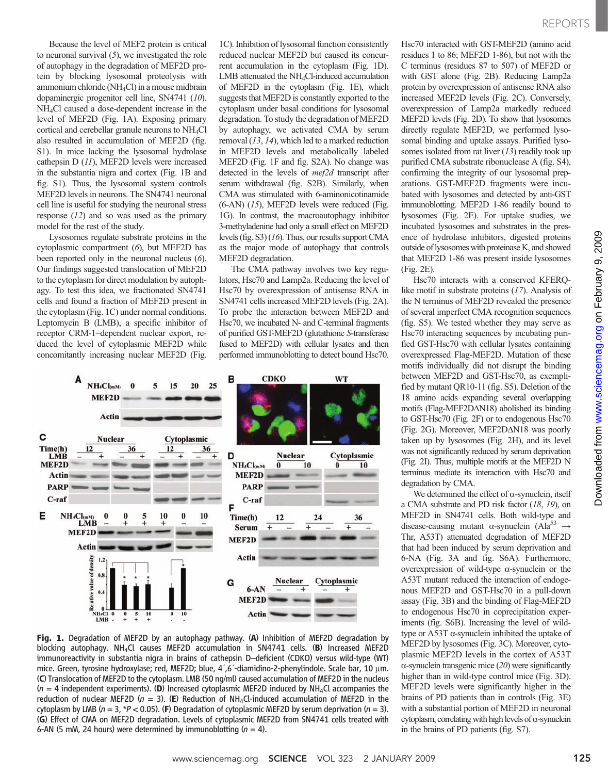Because the level of MEF2 protein is critical to neuronal survival  $(5)$ , we investigated the role of autophagy in the degradation of MEF2D protein by blocking lysosomal proteolysis with ammonium chloride (NH4Cl) in a mouse midbrain dopaminergic progenitor cell line, SN4741 (10). NH4Cl caused a dose-dependent increase in the level of MEF2D (Fig. 1A). Exposing primary cortical and cerebellar granule neurons to NH4Cl also resulted in accumulation of MEF2D (fig. S1). In mice lacking the lysosomal hydrolase cathepsin D (11), MEF2D levels were increased in the substantia nigra and cortex (Fig. 1B and fig. S1). Thus, the lysosomal system controls MEF2D levels in neurons. The SN4741 neuronal cell line is useful for studying the neuronal stress response (12) and so was used as the primary model for the rest of the study.

Lysosomes regulate substrate proteins in the cytoplasmic compartment (6), but MEF2D has been reported only in the neuronal nucleus (6). Our findings suggested translocation of MEF2D to the cytoplasm for direct modulation by autophagy. To test this idea, we fractionated SN4741 cells and found a fraction of MEF2D present in the cytoplasm (Fig. 1C) under normal conditions. Leptomycin B (LMB), a specific inhibitor of receptor CRM-1–dependent nuclear export, reduced the level of cytoplasmic MEF2D while concomitantly increasing nuclear MEF2D (Fig.

1C). Inhibition of lysosomal function consistently reduced nuclear MEF2D but caused its concurrent accumulation in the cytoplasm (Fig. 1D). LMB attenuated the NH4Cl-induced accumulation of MEF2D in the cytoplasm (Fig. 1E), which suggests that MEF2D is constantly exported to the cytoplasm under basal conditions for lysosomal degradation. To study the degradation of MEF2D by autophagy, we activated CMA by serum removal (13, 14), which led to a marked reduction in MEF2D levels and metabolically labeled MEF2D (Fig. 1F and fig. S2A). No change was detected in the levels of mef2d transcript after serum withdrawal (fig. S2B). Similarly, when CMA was stimulated with 6-aminonicotinamide (6-AN) (15), MEF2D levels were reduced (Fig. 1G). In contrast, the macroautophagy inhibitor 3-methyladenine had only a small effect on MEF2D levels (fig. S3) (16). Thus, our results support CMA as the major mode of autophagy that controls MEF2D degradation.

The CMA pathway involves two key regulators, Hsc70 and Lamp2a. Reducing the level of Hsc70 by overexpression of antisense RNA in SN4741 cells increased MEF2D levels (Fig. 2A). To probe the interaction between MEF2D and Hsc70, we incubated N- and C-terminal fragments of purified GST-MEF2D (glutathione S-transferase fused to MEF2D) with cellular lysates and then performed immunoblotting to detect bound Hsc70.



Fig. 1. Degradation of MEF2D by an autophagy pathway. (A) Inhibition of MEF2D degradation by blocking autophagy. NH<sub>4</sub>Cl causes MEF2D accumulation in SN4741 cells. (B) Increased MEF2D immunoreactivity in substantia nigra in brains of cathepsin D–deficient (CDKO) versus wild-type (WT) mice. Green, tyrosine hydroxylase; red, MEF2D; blue,  $4^{\prime}$ ,6<sup> $-$ </sup>diamidino-2-phenylindole. Scale bar, 10  $\mu$ m. (C) Translocation of MEF2D to the cytoplasm. LMB (50 ng/ml) caused accumulation of MEF2D in the nucleus  $(n = 4$  independent experiments). (D) Increased cytoplasmic MEF2D induced by NH<sub>4</sub>Cl accompanies the reduction of nuclear MEF2D ( $n = 3$ ). (E) Reduction of NH<sub>4</sub>Cl-induced accumulation of MEF2D in the cytoplasm by LMB ( $n = 3$ , \*P < 0.05). (F) Degradation of cytoplasmic MEF2D by serum deprivation ( $n = 3$ ). (G) Effect of CMA on MEF2D degradation. Levels of cytoplasmic MEF2D from SN4741 cells treated with 6-AN (5 mM, 24 hours) were determined by immunoblotting  $(n = 4)$ .

Hsc70 interacted with GST-MEF2D (amino acid residues 1 to 86; MEF2D 1-86), but not with the C terminus (residues 87 to 507) of MEF2D or with GST alone (Fig. 2B). Reducing Lamp2a protein by overexpression of antisense RNA also increased MEF2D levels (Fig. 2C). Conversely, overexpression of Lamp2a markedly reduced MEF2D levels (Fig. 2D). To show that lysosomes directly regulate MEF2D, we performed lysosomal binding and uptake assays. Purified lysosomes isolated from rat liver  $(13)$  readily took up purified CMA substrate ribonuclease A (fig. S4), confirming the integrity of our lysosomal preparations. GST-MEF2D fragments were incubated with lysosomes and detected by anti-GST immunoblotting. MEF2D 1-86 readily bound to lysosomes (Fig. 2E). For uptake studies, we incubated lysosomes and substrates in the presence of hydrolase inhibitors, digested proteins outside of lysosomes with proteinase K, and showed that MEF2D 1-86 was present inside lysosomes (Fig. 2E).

Hsc70 interacts with a conserved KFERQlike motif in substrate proteins (17). Analysis of the N terminus of MEF2D revealed the presence of several imperfect CMA recognition sequences (fig. S5). We tested whether they may serve as Hsc70 interacting sequences by incubating purified GST-Hsc70 with cellular lysates containing overexpressed Flag-MEF2D. Mutation of these motifs individually did not disrupt the binding between MEF2D and GST-Hsc70, as exemplified by mutant QR10-11 (fig. S5). Deletion of the 18 amino acids expanding several overlapping motifs (Flag-MEF2D $\triangle$ N18) abolished its binding to GST-Hsc70 (Fig. 2F) or to endogenous Hsc70  $(Fig. 2G)$ . Moreover, MEF2D $\Delta$ N18 was poorly taken up by lysosomes (Fig. 2H), and its level was not significantly reduced by serum deprivation (Fig. 2I). Thus, multiple motifs at the MEF2D N terminus mediate its interaction with Hsc70 and degradation by CMA.

We determined the effect of  $\alpha$ -synuclein, itself a CMA substrate and PD risk factor (18, 19), on MEF2D in SN4741 cells. Both wild-type and disease-causing mutant  $\alpha$ -synuclein (Ala<sup>53</sup>  $\rightarrow$ Thr, A53T) attenuated degradation of MEF2D that had been induced by serum deprivation and 6-NA (Fig. 3A and fig. S6A). Furthermore, overexpression of wild-type  $\alpha$ -synuclein or the A53T mutant reduced the interaction of endogenous MEF2D and GST-Hsc70 in a pull-down assay (Fig. 3B) and the binding of Flag-MEF2D to endogenous Hsc70 in coprecipitation experiments (fig. S6B). Increasing the level of wildtype or A53T a-synuclein inhibited the uptake of MEF2D by lysosomes (Fig. 3C). Moreover, cytoplasmic MEF2D levels in the cortex of A53T  $\alpha$ -synuclein transgenic mice (20) were significantly higher than in wild-type control mice (Fig. 3D). MEF2D levels were significantly higher in the brains of PD patients than in controls (Fig. 3E) with a substantial portion of MEF2D in neuronal cytoplasm, correlating with high levels of  $\alpha$ -synuclein in the brains of PD patients (fig. S7).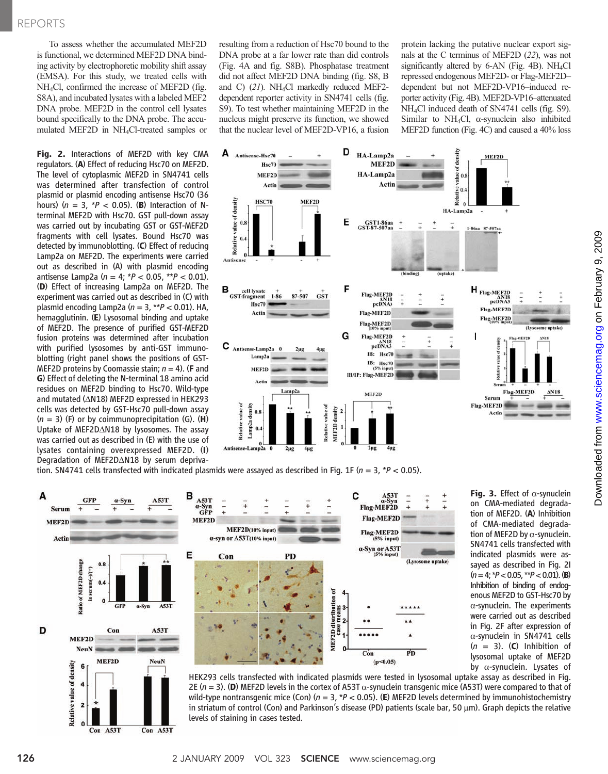To assess whether the accumulated MEF2D is functional, we determined MEF2D DNA binding activity by electrophoretic mobility shift assay (EMSA). For this study, we treated cells with NH4Cl, confirmed the increase of MEF2D (fig. S8A), and incubated lysates with a labeled MEF2 DNA probe. MEF2D in the control cell lysates bound specifically to the DNA probe. The accumulated MEF2D in NH4Cl-treated samples or

Fig. 2. Interactions of MEF2D with key CMA regulators. (A) Effect of reducing Hsc70 on MEF2D. The level of cytoplasmic MEF2D in SN4741 cells was determined after transfection of control plasmid or plasmid encoding antisense Hsc70 (36 hours) ( $n = 3$ ,  $*P < 0.05$ ). (B) Interaction of Nterminal MEF2D with Hsc70. GST pull-down assay was carried out by incubating GST or GST-MEF2D fragments with cell lysates. Bound Hsc70 was detected by immunoblotting. (C) Effect of reducing Lamp2a on MEF2D. The experiments were carried out as described in (A) with plasmid encoding antisense Lamp2a ( $n = 4$ ;  $*P < 0.05$ ,  $**P < 0.01$ ). (D) Effect of increasing Lamp2a on MEF2D. The experiment was carried out as described in (C) with plasmid encoding Lamp2a ( $n = 3$ , \*\* $P < 0.01$ ). HA, hemagglutinin. (E) Lysosomal binding and uptake of MEF2D. The presence of purified GST-MEF2D fusion proteins was determined after incubation with purified lysosomes by anti-GST immunoblotting (right panel shows the positions of GST-MEF2D proteins by Coomassie stain;  $n = 4$ ). (**F** and G) Effect of deleting the N-terminal 18 amino acid residues on MEF2D binding to Hsc70. Wild-type and mutated ( $\triangle N18$ ) MEF2D expressed in HEK293 cells was detected by GST-Hsc70 pull-down assay  $(n = 3)$  (F) or by coimmunoprecipitation (G). (H) Uptake of MEF2D $\triangle$ N18 by lysosomes. The assay was carried out as described in (E) with the use of lysates containing overexpressed MEF2D. (I) Degradation of MEF2DAN18 by serum deprivaresulting from a reduction of Hsc70 bound to the DNA probe at a far lower rate than did controls (Fig. 4A and fig. S8B). Phosphatase treatment did not affect MEF2D DNA binding (fig. S8, B and C) (21). NH4Cl markedly reduced MEF2 dependent reporter activity in SN4741 cells (fig. S9). To test whether maintaining MEF2D in the nucleus might preserve its function, we showed that the nuclear level of MEF2D-VP16, a fusion

protein lacking the putative nuclear export signals at the C terminus of MEF2D (22), was not significantly altered by 6-AN (Fig. 4B). NH<sub>4</sub>Cl repressed endogenous MEF2D- or Flag-MEF2D– dependent but not MEF2D-VP16–induced reporter activity (Fig. 4B). MEF2D-VP16–attenuated NH4Cl induced death of SN4741 cells (fig. S9). Similar to NH<sub>4</sub>Cl,  $\alpha$ -synuclein also inhibited MEF2D function (Fig. 4C) and caused a 40% loss



tion. SN4741 cells transfected with indicated plasmids were assayed as described in Fig. 1F ( $n = 3$ , \*P < 0.05).



Fig. 3. Effect of  $\alpha$ -synuclein on CMA-mediated degradation of MEF2D. (A) Inhibition of CMA-mediated degradation of MEF2D by  $\alpha$ -synuclein. SN4741 cells transfected with indicated plasmids were assayed as described in Fig. 2I  $(n= 4; *P < 0.05, **P < 0.01)$ . (B) Inhibition of binding of endogenous MEF2D to GST-Hsc70 by  $\alpha$ -synuclein. The experiments were carried out as described in Fig. 2F after expression of  $\alpha$ -synuclein in SN4741 cells  $(n = 3)$ . (C) Inhibition of lysosomal uptake of MEF2D by a-synuclein. Lysates of

HEK293 cells transfected with indicated plasmids were tested in lysosomal uptake assay as described in Fig. 2E  $(n = 3)$ . (D) MEF2D levels in the cortex of A53T  $\alpha$ -synuclein transgenic mice (A53T) were compared to that of wild-type nontransgenic mice (Con) ( $n = 3$ ,  $*P < 0.05$ ). (E) MEF2D levels determined by immunohistochemistry in striatum of control (Con) and Parkinson's disease (PD) patients (scale bar, 50  $\mu$ m). Graph depicts the relative levels of staining in cases tested.

2  $\Omega$ 

Con A53T

Con A53T